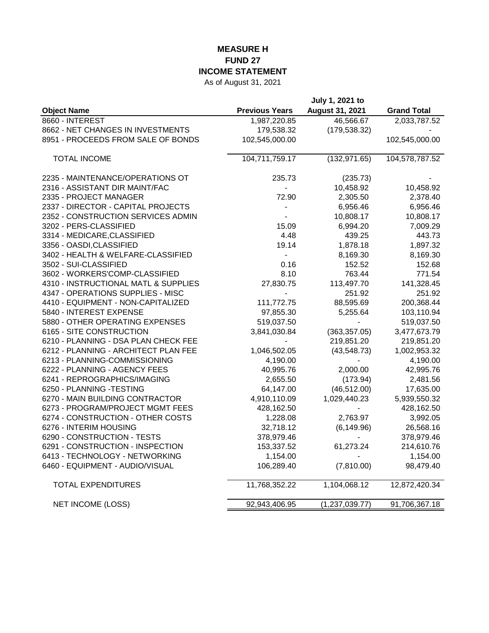## **MEASURE H FUND 27 INCOME STATEMENT**

As of August 31, 2021

|                                      |                       | July 1, 2021 to          |                    |
|--------------------------------------|-----------------------|--------------------------|--------------------|
| <b>Object Name</b>                   | <b>Previous Years</b> | August 31, 2021          | <b>Grand Total</b> |
| 8660 - INTEREST                      | 1,987,220.85          | 46,566.67                | 2,033,787.52       |
| 8662 - NET CHANGES IN INVESTMENTS    | 179,538.32            | (179, 538.32)            |                    |
| 8951 - PROCEEDS FROM SALE OF BONDS   | 102,545,000.00        |                          | 102,545,000.00     |
| <b>TOTAL INCOME</b>                  | 104,711,759.17        | (132, 971.65)            | 104,578,787.52     |
| 2235 - MAINTENANCE/OPERATIONS OT     | 235.73                | (235.73)                 |                    |
| 2316 - ASSISTANT DIR MAINT/FAC       |                       | 10,458.92                | 10,458.92          |
| 2335 - PROJECT MANAGER               | 72.90                 | 2,305.50                 | 2,378.40           |
| 2337 - DIRECTOR - CAPITAL PROJECTS   |                       | 6,956.46                 | 6,956.46           |
| 2352 - CONSTRUCTION SERVICES ADMIN   |                       | 10,808.17                | 10,808.17          |
| 3202 - PERS-CLASSIFIED               | 15.09                 | 6,994.20                 | 7,009.29           |
| 3314 - MEDICARE, CLASSIFIED          | 4.48                  | 439.25                   | 443.73             |
| 3356 - OASDI, CLASSIFIED             | 19.14                 | 1,878.18                 | 1,897.32           |
| 3402 - HEALTH & WELFARE-CLASSIFIED   |                       | 8,169.30                 | 8,169.30           |
| 3502 - SUI-CLASSIFIED                | 0.16                  | 152.52                   | 152.68             |
| 3602 - WORKERS'COMP-CLASSIFIED       | 8.10                  | 763.44                   | 771.54             |
| 4310 - INSTRUCTIONAL MATL & SUPPLIES | 27,830.75             | 113,497.70               | 141,328.45         |
| 4347 - OPERATIONS SUPPLIES - MISC    |                       | 251.92                   | 251.92             |
| 4410 - EQUIPMENT - NON-CAPITALIZED   | 111,772.75            | 88,595.69                | 200,368.44         |
| 5840 - INTEREST EXPENSE              | 97,855.30             | 5,255.64                 | 103,110.94         |
| 5880 - OTHER OPERATING EXPENSES      | 519,037.50            |                          | 519,037.50         |
| 6165 - SITE CONSTRUCTION             | 3,841,030.84          | (363, 357.05)            | 3,477,673.79       |
| 6210 - PLANNING - DSA PLAN CHECK FEE |                       | 219,851.20               | 219,851.20         |
| 6212 - PLANNING - ARCHITECT PLAN FEE | 1,046,502.05          | (43, 548.73)             | 1,002,953.32       |
| 6213 - PLANNING-COMMISSIONING        | 4,190.00              | $\overline{\phantom{a}}$ | 4,190.00           |
| 6222 - PLANNING - AGENCY FEES        | 40,995.76             | 2,000.00                 | 42,995.76          |
| 6241 - REPROGRAPHICS/IMAGING         | 2,655.50              | (173.94)                 | 2,481.56           |
| 6250 - PLANNING -TESTING             | 64,147.00             | (46, 512.00)             | 17,635.00          |
| 6270 - MAIN BUILDING CONTRACTOR      | 4,910,110.09          | 1,029,440.23             | 5,939,550.32       |
| 6273 - PROGRAM/PROJECT MGMT FEES     | 428,162.50            | $\overline{\phantom{a}}$ | 428,162.50         |
| 6274 - CONSTRUCTION - OTHER COSTS    | 1,228.08              | 2,763.97                 | 3,992.05           |
| 6276 - INTERIM HOUSING               | 32,718.12             | (6, 149.96)              | 26,568.16          |
| 6290 - CONSTRUCTION - TESTS          | 378,979.46            |                          | 378,979.46         |
| 6291 - CONSTRUCTION - INSPECTION     | 153,337.52            | 61,273.24                | 214,610.76         |
| 6413 - TECHNOLOGY - NETWORKING       | 1,154.00              |                          | 1,154.00           |
| 6460 - EQUIPMENT - AUDIO/VISUAL      | 106,289.40            | (7,810.00)               | 98,479.40          |
| <b>TOTAL EXPENDITURES</b>            | 11,768,352.22         | 1,104,068.12             | 12,872,420.34      |
| <b>NET INCOME (LOSS)</b>             | 92,943,406.95         | (1, 237, 039.77)         | 91,706,367.18      |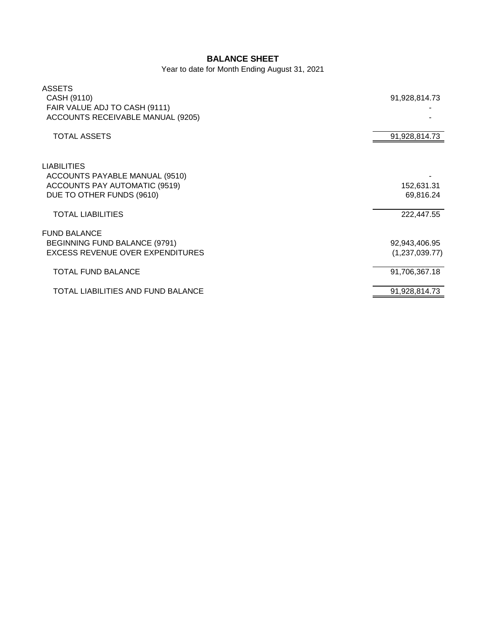## **BALANCE SHEET**

Year to date for Month Ending August 31, 2021

| <b>ASSETS</b><br>CASH (9110)<br>FAIR VALUE ADJ TO CASH (9111)<br>ACCOUNTS RECEIVABLE MANUAL (9205)                 | 91,928,814.73                   |
|--------------------------------------------------------------------------------------------------------------------|---------------------------------|
| <b>TOTAL ASSETS</b>                                                                                                | 91,928,814.73                   |
| <b>LIABILITIES</b><br>ACCOUNTS PAYABLE MANUAL (9510)<br>ACCOUNTS PAY AUTOMATIC (9519)<br>DUE TO OTHER FUNDS (9610) | 152,631.31<br>69,816.24         |
| <b>TOTAL LIABILITIES</b>                                                                                           | 222,447.55                      |
| <b>FUND BALANCE</b><br>BEGINNING FUND BALANCE (9791)<br><b>EXCESS REVENUE OVER EXPENDITURES</b>                    | 92,943,406.95<br>(1,237,039.77) |
| <b>TOTAL FUND BALANCE</b>                                                                                          | 91,706,367.18                   |
| TOTAL LIABILITIES AND FUND BALANCE                                                                                 | 91,928,814.73                   |
|                                                                                                                    |                                 |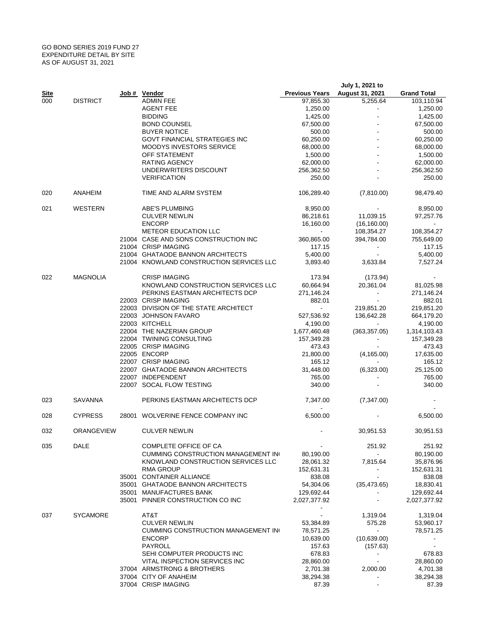## GO BOND SERIES 2019 FUND 27 EXPENDITURE DETAIL BY SITE AS OF AUGUST 31, 2021

|             |                 |                                          |                             | July 1, 2021 to          |                       |
|-------------|-----------------|------------------------------------------|-----------------------------|--------------------------|-----------------------|
| <u>Site</u> |                 | Job # Vendor                             | <b>Previous Years</b>       | August 31, 2021          | <b>Grand Total</b>    |
| 000         | <b>DISTRICT</b> | <b>ADMIN FEE</b>                         | 97,855.30                   | 5,255.64                 | 103,110.94            |
|             |                 | AGENT FEE                                | 1,250.00                    |                          | 1,250.00              |
|             |                 | <b>BIDDING</b>                           | 1,425.00                    |                          | 1,425.00              |
|             |                 | <b>BOND COUNSEL</b>                      | 67,500.00                   |                          | 67,500.00             |
|             |                 | <b>BUYER NOTICE</b>                      | 500.00                      |                          | 500.00                |
|             |                 | <b>GOVT FINANCIAL STRATEGIES INC</b>     | 60,250.00                   |                          | 60,250.00             |
|             |                 | <b>MOODYS INVESTORS SERVICE</b>          | 68,000.00                   |                          | 68,000.00             |
|             |                 | OFF STATEMENT<br><b>RATING AGENCY</b>    | 1,500.00                    |                          | 1,500.00<br>62,000.00 |
|             |                 | UNDERWRITERS DISCOUNT                    | 62,000.00<br>256,362.50     |                          | 256,362.50            |
|             |                 | <b>VERIFICATION</b>                      | 250.00                      |                          | 250.00                |
|             |                 |                                          |                             |                          |                       |
| 020         | ANAHEIM         | TIME AND ALARM SYSTEM                    | 106,289.40                  | (7,810.00)               | 98,479.40             |
| 021         | WESTERN         | ABE'S PLUMBING                           | 8,950.00                    |                          | 8,950.00              |
|             |                 | <b>CULVER NEWLIN</b>                     | 86,218.61                   | 11,039.15                | 97,257.76             |
|             |                 | <b>ENCORP</b>                            | 16,160.00                   | (16, 160.00)             | $\sim$                |
|             |                 | <b>METEOR EDUCATION LLC</b>              | $\blacksquare$              | 108,354.27               | 108,354.27            |
|             |                 | 21004 CASE AND SONS CONSTRUCTION INC     | 360,865.00                  | 394,784.00               | 755,649.00            |
|             |                 | 21004 CRISP IMAGING                      | 117.15                      |                          | 117.15                |
|             |                 | 21004 GHATAODE BANNON ARCHITECTS         | 5,400.00                    |                          | 5,400.00              |
|             |                 | 21004 KNOWLAND CONSTRUCTION SERVICES LLC | 3,893.40                    | 3,633.84                 | 7,527.24              |
| 022         | <b>MAGNOLIA</b> | <b>CRISP IMAGING</b>                     | 173.94                      | (173.94)                 |                       |
|             |                 | KNOWLAND CONSTRUCTION SERVICES LLC       | 60,664.94                   | 20,361.04                | 81,025.98             |
|             |                 | PERKINS EASTMAN ARCHITECTS DCP           | 271,146.24                  | $\overline{\phantom{a}}$ | 271,146.24            |
|             |                 | 22003 CRISP IMAGING                      | 882.01                      |                          | 882.01                |
|             |                 | 22003 DIVISION OF THE STATE ARCHITECT    | $\mathcal{L}_{\mathcal{A}}$ | 219,851.20               | 219,851.20            |
|             |                 | 22003 JOHNSON FAVARO                     | 527,536.92                  | 136,642.28               | 664,179.20            |
|             |                 | 22003 KITCHELL                           | 4,190.00                    |                          | 4,190.00              |
|             |                 | 22004 THE NAZERIAN GROUP                 | 1,677,460.48                | (363, 357.05)            | 1,314,103.43          |
|             |                 | 22004 TWINING CONSULTING                 | 157,349.28                  |                          | 157,349.28            |
|             |                 | 22005 CRISP IMAGING                      | 473.43                      |                          | 473.43                |
|             |                 | 22005 ENCORP                             | 21,800.00                   | (4, 165.00)              | 17,635.00             |
|             |                 | 22007 CRISP IMAGING                      | 165.12                      |                          | 165.12                |
|             |                 | 22007 GHATAODE BANNON ARCHITECTS         | 31,448.00                   | (6,323.00)               | 25,125.00             |
|             |                 | 22007 INDEPENDENT                        | 765.00                      |                          | 765.00                |
|             |                 | 22007 SOCAL FLOW TESTING                 | 340.00                      |                          | 340.00                |
| 023         | SAVANNA         | PERKINS EASTMAN ARCHITECTS DCP           | 7,347.00                    | (7,347.00)               |                       |
| 028         | <b>CYPRESS</b>  | 28001 WOLVERINE FENCE COMPANY INC        | 6,500.00                    |                          | 6,500.00              |
| 032         | ORANGEVIEW      | <b>CULVER NEWLIN</b>                     |                             | 30,951.53                | 30,951.53             |
|             |                 |                                          |                             |                          |                       |
| 035         | DALE            | COMPLETE OFFICE OF CA                    |                             | 251.92                   | 251.92                |
|             |                 | CUMMING CONSTRUCTION MANAGEMENT INC      | 80,190.00                   |                          | 80,190.00             |
|             |                 | KNOWLAND CONSTRUCTION SERVICES LLC       | 28,061.32                   | 7,815.64                 | 35,876.96             |
|             |                 | RMA GROUP                                | 152,631.31                  |                          | 152,631.31            |
|             |                 | 35001 CONTAINER ALLIANCE                 | 838.08                      |                          | 838.08                |
|             |                 | 35001 GHATAODE BANNON ARCHITECTS         | 54,304.06                   | (35, 473.65)             | 18,830.41             |
|             |                 | 35001 MANUFACTURES BANK                  | 129,692.44                  |                          | 129,692.44            |
|             |                 | 35001 PINNER CONSTRUCTION CO INC         | 2,027,377.92<br>۰           |                          | 2,027,377.92          |
| 037         | <b>SYCAMORE</b> | AT&T                                     |                             | 1,319.04                 | 1,319.04              |
|             |                 | <b>CULVER NEWLIN</b>                     | 53,384.89                   | 575.28                   | 53,960.17             |
|             |                 | CUMMING CONSTRUCTION MANAGEMENT INC      | 78,571.25                   | $\blacksquare$           | 78,571.25             |
|             |                 | <b>ENCORP</b>                            | 10,639.00                   | (10,639.00)              |                       |
|             |                 | PAYROLL                                  | 157.63                      | (157.63)                 |                       |
|             |                 | SEHI COMPUTER PRODUCTS INC               | 678.83                      | $\blacksquare$           | 678.83                |
|             |                 | VITAL INSPECTION SERVICES INC            | 28,860.00                   | $\overline{\phantom{a}}$ | 28,860.00             |
|             |                 | 37004 ARMSTRONG & BROTHERS               | 2,701.38                    | 2,000.00                 | 4,701.38              |
|             |                 | 37004 CITY OF ANAHEIM                    | 38,294.38                   |                          | 38,294.38             |
|             |                 | 37004 CRISP IMAGING                      | 87.39                       |                          | 87.39                 |